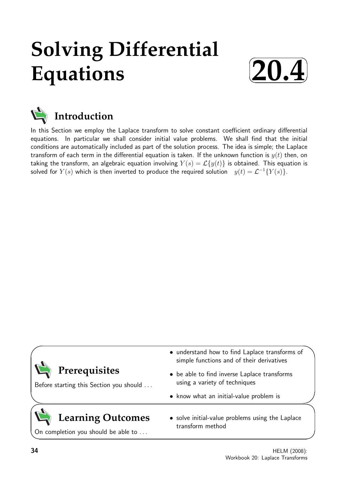# **Solving Differential Equations**





In this Section we employ the Laplace transform to solve constant coefficient ordinary differential equations. In particular we shall consider initial value problems. We shall find that the initial conditions are automatically included as part of the solution process. The idea is simple; the Laplace transform of each term in the differential equation is taken. If the unknown function is  $y(t)$  then, on taking the transform, an algebraic equation involving  $Y(s) = \mathcal{L}{y(t)}$  is obtained. This equation is solved for  $Y(s)$  which is then inverted to produce the required solution  $y(t) = \mathcal{L}^{-1}{Y(s)}$ .

|                                                                 | • understand how to find Laplace transforms of<br>simple functions and of their derivatives |
|-----------------------------------------------------------------|---------------------------------------------------------------------------------------------|
| Prerequisites<br>Before starting this Section you should        | • be able to find inverse Laplace transforms<br>using a variety of techniques               |
|                                                                 | • know what an initial-value problem is                                                     |
| <b>Learning Outcomes</b><br>On completion you should be able to | • solve initial-value problems using the Laplace<br>transform method                        |
|                                                                 |                                                                                             |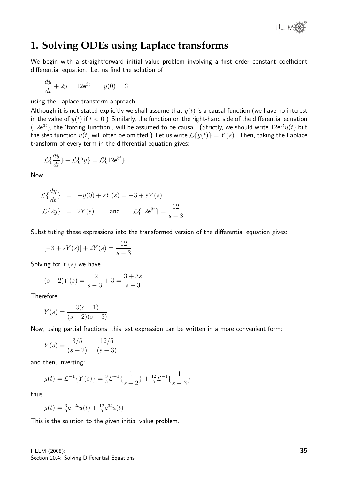

### **1. Solving ODEs using Laplace transforms**

We begin with a straightforward initial value problem involving a first order constant coefficient differential equation. Let us find the solution of

$$
\frac{dy}{dt} + 2y = 12e^{3t} \qquad y(0) = 3
$$

using the Laplace transform approach.

Although it is not stated explicitly we shall assume that  $y(t)$  is a causal function (we have no interest in the value of  $y(t)$  if  $t < 0$ .) Similarly, the function on the right-hand side of the differential equation  $(12e^{3t})$ , the 'forcing function', will be assumed to be causal. (Strictly, we should write  $12e^{3t}u(t)$  but the step function  $u(t)$  will often be omitted.) Let us write  $\mathcal{L}{y(t)} = Y(s)$ . Then, taking the Laplace transform of every term in the differential equation gives:

$$
\mathcal{L}\{\frac{dy}{dt}\} + \mathcal{L}\{2y\} = \mathcal{L}\{12e^{3t}\}
$$

Now

$$
\mathcal{L}\left\{\frac{dy}{dt}\right\} = -y(0) + sY(s) = -3 + sY(s)
$$
  

$$
\mathcal{L}\left\{2y\right\} = 2Y(s) \quad \text{and} \quad \mathcal{L}\left\{12e^{3t}\right\} = \frac{12}{s-3}
$$

Substituting these expressions into the transformed version of the differential equation gives:

$$
[-3 + sY(s)] + 2Y(s) = \frac{12}{s - 3}
$$

Solving for  $Y(s)$  we have

$$
(s+2)Y(s) = \frac{12}{s-3} + 3 = \frac{3+3s}{s-3}
$$

Therefore

$$
Y(s) = \frac{3(s+1)}{(s+2)(s-3)}
$$

Now, using partial fractions, this last expression can be written in a more convenient form:

$$
Y(s) = \frac{3/5}{(s+2)} + \frac{12/5}{(s-3)}
$$

and then, inverting:

$$
y(t) = \mathcal{L}^{-1}{Y(s)} = \frac{3}{5}\mathcal{L}^{-1}\left\{\frac{1}{s+2}\right\} + \frac{12}{5}\mathcal{L}^{-1}\left\{\frac{1}{s-3}\right\}
$$

thus

$$
y(t) = \frac{3}{5}e^{-2t}u(t) + \frac{12}{5}e^{3t}u(t)
$$

This is the solution to the given initial value problem.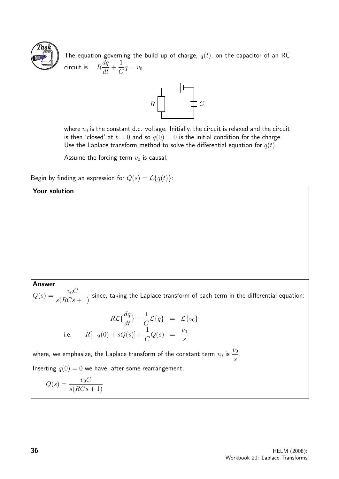

The equation governing the build up of charge,  $q(t)$ , on the capacitor of an RC circuit is  $R$  $dq$  $\frac{dq}{dt} +$ 1  $\frac{1}{C}q = v_0$ 



where  $v_0$  is the constant d.c. voltage. Initially, the circuit is relaxed and the circuit is then 'closed' at  $t = 0$  and so  $q(0) = 0$  is the initial condition for the charge. Use the Laplace transform method to solve the differential equation for  $q(t)$ .

Assume the forcing term  $v_0$  is causal.

Begin by finding an expression for  $Q(s) = \mathcal{L}{q(t)}$ :

#### Your solution

Answer

 $Q(s) = \frac{v_0 C}{\sqrt{BC}}$  $\frac{s(3C)}{s(RCs+1)}$  since, taking the Laplace transform of each term in the differential equation:

$$
R\mathcal{L}\{\frac{dq}{dt}\} + \frac{1}{C}\mathcal{L}\{q\} = \mathcal{L}\{v_0\}
$$
  
i.e. 
$$
R[-q(0) + sQ(s)] + \frac{1}{C}Q(s) = \frac{v_0}{s}
$$

where, we emphasize, the Laplace transform of the constant term  $v_0$  is  $\frac{v_0}{s}$ .

Inserting  $q(0) = 0$  we have, after some rearrangement,

$$
Q(s) = \frac{v_0 C}{s(RCs + 1)}
$$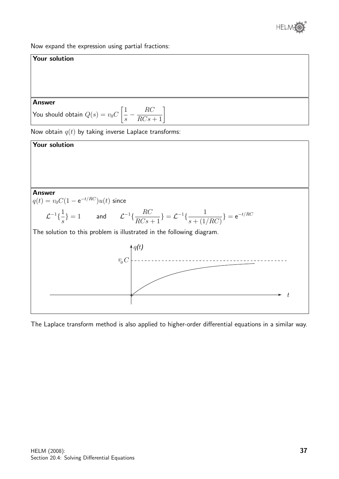

Now expand the expression using partial fractions:



The Laplace transform method is also applied to higher-order differential equations in a similar way.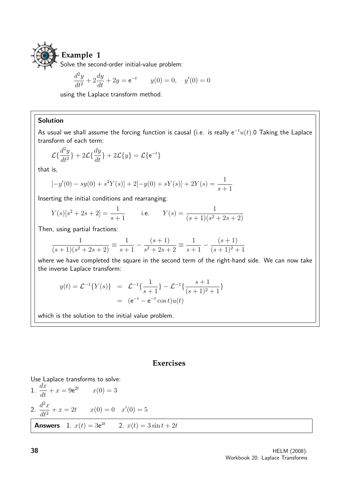

Solve the second-order initial-value problem:

$$
\frac{d^2y}{dt^2} + 2\frac{dy}{dt} + 2y = e^{-t} \qquad y(0) = 0, \quad y'(0) = 0
$$

using the Laplace transform method.

#### Solution

As usual we shall assume the forcing function is causal (i.e. is really  $e^{-t}u(t)$ .0 Taking the Laplace transform of each term:

$$
\mathcal{L}\{\frac{d^2y}{dt^2}\} + 2\mathcal{L}\{\frac{dy}{dt}\} + 2\mathcal{L}\{y\} = \mathcal{L}\{e^{-t}\}
$$

that is,

$$
[-y'(0) - sy(0) + s2Y(s)] + 2[-y(0) + sY(s)] + 2Y(s) = \frac{1}{s+1}
$$

Inserting the initial conditions and rearranging:

$$
Y(s)[s^2 + 2s + 2] = \frac{1}{s+1}
$$
 i.e.  $Y(s) = \frac{1}{(s+1)(s^2 + 2s + 2)}$ 

Then, using partial fractions:

$$
\frac{1}{(s+1)(s^2+2s+2)} \equiv \frac{1}{s+1} - \frac{(s+1)}{s^2+2s+2} \equiv \frac{1}{s+1} - \frac{(s+1)}{(s+1)^2+1}
$$

where we have completed the square in the second term of the right-hand side. We can now take the inverse Laplace transform:

$$
y(t) = \mathcal{L}^{-1}{Y(s)} = \mathcal{L}^{-1}\left{\frac{1}{s+1}\right} - \mathcal{L}^{-1}\left{\frac{s+1}{(s+1)^2+1}\right}
$$

$$
= (e^{-t} - e^{-t}\cos t)u(t)
$$

which is the solution to the initial value problem.

#### **Exercises**

Use Laplace transforms to solve:  
\n1. 
$$
\frac{dx}{dt} + x = 9e^{2t} \qquad x(0) = 3
$$
\n2. 
$$
\frac{d^2x}{dt^2} + x = 2t \qquad x(0) = 0 \quad x'(0) = 5
$$
\nAnswers 1. 
$$
x(t) = 3e^{2t} \qquad 2. \quad x(t) = 3\sin t + 2t
$$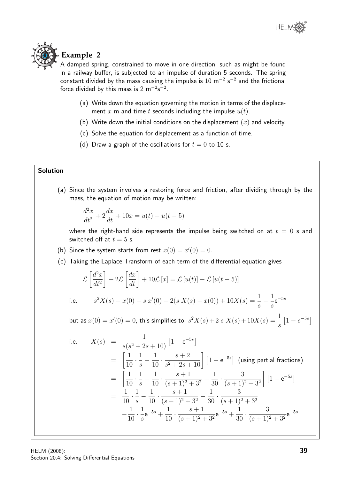## **Example 2**

A damped spring, constrained to move in one direction, such as might be found in a railway buffer, is subjected to an impulse of duration 5 seconds. The spring constant divided by the mass causing the impulse is 10 m<sup>-2</sup> s<sup>-2</sup> and the frictional force divided by this mass is  $2 \text{ m}^{-2} \text{s}^{-2}$ .

- (a) Write down the equation governing the motion in terms of the displacement x m and time t seconds including the impulse  $u(t)$ .
- (b) Write down the initial conditions on the displacement  $(x)$  and velocity.
- (c) Solve the equation for displacement as a function of time.
- (d) Draw a graph of the oscillations for  $t = 0$  to 10 s.

#### Solution

(a) Since the system involves a restoring force and friction, after dividing through by the mass, the equation of motion may be written:

$$
\frac{d^2x}{dt^2} + 2\frac{dx}{dt} + 10x = u(t) - u(t-5)
$$

where the right-hand side represents the impulse being switched on at  $t = 0$  s and switched off at  $t = 5$  s.

- (b) Since the system starts from rest  $x(0) = x'(0) = 0$ .
- (c) Taking the Laplace Transform of each term of the differential equation gives

$$
\mathcal{L}\left[\frac{d^2x}{dt^2}\right] + 2\mathcal{L}\left[\frac{dx}{dt}\right] + 10\mathcal{L}\left[x\right] = \mathcal{L}\left[u(t)\right] - \mathcal{L}\left[u(t-5)\right]
$$
  
i.e. 
$$
s^2X(s) - x(0) - s\ x'(0) + 2(s\ X(s) - x(0)) + 10X(s) = \frac{1}{s} - \frac{1}{s}e^{-5s}
$$

but as  $x(0)=x^{\prime}(0)=0$ , this simplifies to  $\;s^2X(s)+2\;s\;X(s)+10X(s)=\frac{1}{s}$ s  $\left[1-e^{-5s}\right]$ 

i.e. 
$$
X(s) = \frac{1}{s(s^2 + 2s + 10)} \left[ 1 - e^{-5s} \right]
$$
  
\n
$$
= \left[ \frac{1}{10} \cdot \frac{1}{s} - \frac{1}{10} \cdot \frac{s+2}{s^2 + 2s + 10} \right] \left[ 1 - e^{-5s} \right] \text{ (using partial fractions)}
$$
  
\n
$$
= \left[ \frac{1}{10} \cdot \frac{1}{s} - \frac{1}{10} \cdot \frac{s+1}{(s+1)^2 + 3^2} - \frac{1}{30} \cdot \frac{3}{(s+1)^2 + 3^2} \right] \left[ 1 - e^{-5s} \right]
$$
  
\n
$$
= \frac{1}{10} \cdot \frac{1}{s} - \frac{1}{10} \cdot \frac{s+1}{(s+1)^2 + 3^2} - \frac{1}{30} \cdot \frac{3}{(s+1)^2 + 3^2}
$$
  
\n
$$
- \frac{1}{10} \cdot \frac{1}{s} e^{-5s} + \frac{1}{10} \cdot \frac{s+1}{(s+1)^2 + 3^2} e^{-5s} + \frac{1}{30} \cdot \frac{3}{(s+1)^2 + 3^2} e^{-5s}
$$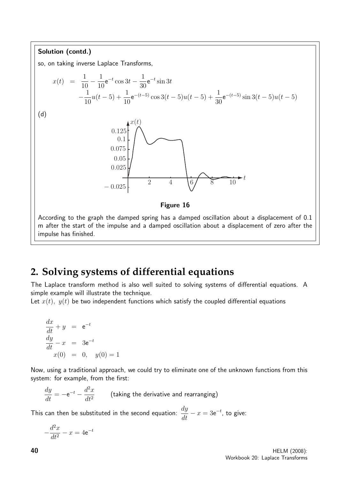

## **2. Solving systems of differential equations**

The Laplace transform method is also well suited to solving systems of differential equations. A simple example will illustrate the technique.

Let  $x(t)$ ,  $y(t)$  be two independent functions which satisfy the coupled differential equations

$$
\frac{dx}{dt} + y = e^{-t}
$$
  

$$
\frac{dy}{dt} - x = 3e^{-t}
$$
  

$$
x(0) = 0, y(0) = 1
$$

Now, using a traditional approach, we could try to eliminate one of the unknown functions from this system: for example, from the first:

 $\frac{dy}{dt} = -e^{-t} - \frac{d^2x}{dt^2}$  $dt^2$ (taking the derivative and rearranging)

This can then be substituted in the second equation:  $\displaystyle{\frac{dy}{dt}-x=3\text{e}^{-t}}$ , to give:

$$
-\frac{d^2x}{dt^2} - x = 4e^{-t}
$$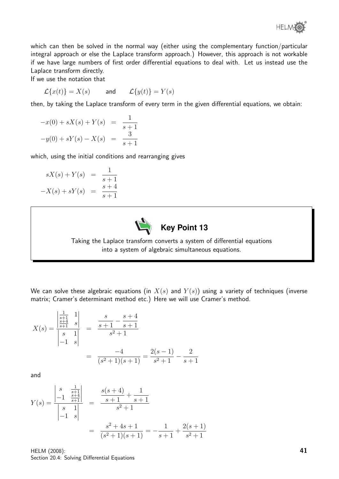

which can then be solved in the normal way (either using the complementary function/particular integral approach or else the Laplace transform approach.) However, this approach is not workable if we have large numbers of first order differential equations to deal with. Let us instead use the Laplace transform directly.

If we use the notation that

 $\mathcal{L}{x(t)} = X(s)$  and  $\mathcal{L}{y(t)} = Y(s)$ 

then, by taking the Laplace transform of every term in the given differential equations, we obtain:

$$
-x(0) + sX(s) + Y(s) = \frac{1}{s+1}
$$
  

$$
-y(0) + sY(s) - X(s) = \frac{3}{s+1}
$$

which, using the initial conditions and rearranging gives

$$
sX(s) + Y(s) = \frac{1}{s+1}
$$
  
-X(s) + sY(s) =  $\frac{s+4}{s+1}$ 



Taking the Laplace transform converts a system of differential equations into a system of algebraic simultaneous equations.

We can solve these algebraic equations (in  $X(s)$  and  $Y(s)$ ) using a variety of techniques (inverse matrix; Cramer's determinant method etc.) Here we will use Cramer's method.

$$
X(s) = \frac{\begin{vmatrix} \frac{1}{s+1} & 1\\ \frac{s+4}{s+1} & s \end{vmatrix}}{\begin{vmatrix} s & 1\\ -1 & s \end{vmatrix}} = \frac{\frac{s}{s+1} - \frac{s+4}{s+1}}{\frac{-4}{s^2+1}} = \frac{2(s-1)}{\frac{s^2+1}{s^2+1}} - \frac{2}{s+1}
$$

and

$$
Y(s) = \frac{\begin{vmatrix} s & \frac{1}{s+1} \\ -1 & \frac{s+4}{s+1} \end{vmatrix}}{\begin{vmatrix} s & 1 \\ -1 & s \end{vmatrix}} = \frac{\frac{s(s+4)}{s+1} + \frac{1}{s+1}}{\frac{s^2+1}{s^2+1}}
$$

$$
= \frac{s^2+4s+1}{(s^2+1)(s+1)} = -\frac{1}{s+1} + \frac{2(s+1)}{s^2+1}
$$

HELM (2008): Section 20.4: Solving Differential Equations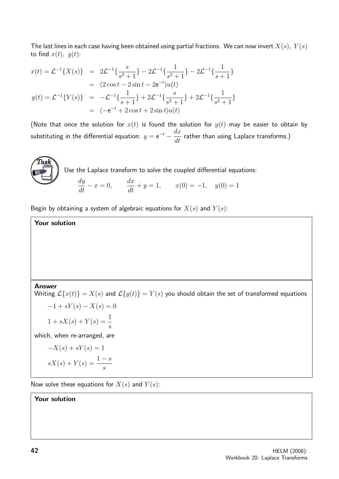The last lines in each case having been obtained using partial fractions. We can now invert  $X(s)$ ,  $Y(s)$ to find  $x(t)$ ,  $y(t)$ :

$$
x(t) = \mathcal{L}^{-1}{X(s)} = 2\mathcal{L}^{-1}\left{\frac{s}{s^2+1}\right} - 2\mathcal{L}^{-1}\left{\frac{1}{s^2+1}\right} - 2\mathcal{L}^{-1}\left{\frac{1}{s+1}\right}
$$
  
\n
$$
= (2\cos t - 2\sin t - 2e^{-t})u(t)
$$
  
\n
$$
y(t) = \mathcal{L}^{-1}{Y(s)} = -\mathcal{L}^{-1}\left{\frac{1}{s+1}\right} + 2\mathcal{L}^{-1}\left{\frac{s}{s^2+1}\right} + 2\mathcal{L}^{-1}\left{\frac{1}{s^2+1}\right}
$$
  
\n
$$
= (-e^{-t} + 2\cos t + 2\sin t)u(t)
$$

(Note that once the solution for  $x(t)$  is found the solution for  $y(t)$  may be easier to obtain by substituting in the differential equation:  $y = e^{-t} - \frac{dx}{dt}$  $\frac{dx}{dt}$  rather than using Laplace transforms.)



Use the Laplace transform to solve the coupled differential equations:

$$
\frac{dy}{dt} - x = 0, \qquad \frac{dx}{dt} + y = 1, \qquad x(0) = -1, \quad y(0) = 1
$$

Begin by obtaining a system of algebraic equations for  $X(s)$  and  $Y(s)$ :

Your solution

Answer

Writing  $\mathcal{L}{x(t)} = X(s)$  and  $\mathcal{L}{y(t)} = Y(s)$  you should obtain the set of transformed equations

$$
-1 + sY(s) - X(s) = 0
$$
  

$$
1 + sX(s) + Y(s) = \frac{1}{s}
$$

which, when re-arranged, are

$$
-X(s) + sY(s) = 1
$$

$$
sX(s) + Y(s) = \frac{1-s}{s}
$$

Now solve these equations for  $X(s)$  and  $Y(s)$ :

Your solution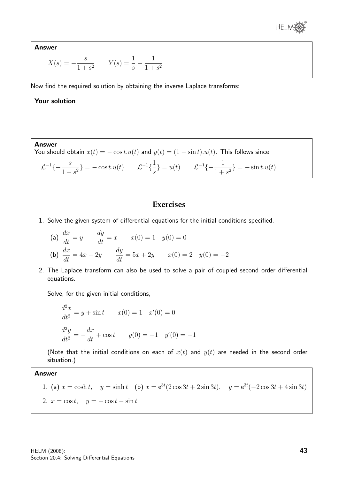

Answer

$$
X(s) = -\frac{s}{1+s^2} \qquad Y(s) = \frac{1}{s} - \frac{1}{1+s^2}
$$

Now find the required solution by obtaining the inverse Laplace transforms:

#### Your solution

Answer You should obtain  $x(t) = -\cos t \cdot u(t)$  and  $y(t) = (1 - \sin t) \cdot u(t)$ . This follows since

 $\mathcal{L}^{-1}\{-\frac{s}{1+s}\}$  $\frac{s}{1+s^2}$ } = - cos t.u(t)  $\mathcal{L}^{-1}\left\{\frac{1}{s}\right\}$ s  $\} = u(t) \qquad \mathcal{L}^{-1}\{-\frac{1}{1+t}\}$  $\frac{1}{1+s^2}$ } = -sin t.u(t)

#### **Exercises**

1. Solve the given system of differential equations for the initial conditions specified.

(a) 
$$
\frac{dx}{dt} = y
$$
  $\frac{dy}{dt} = x$   $x(0) = 1$   $y(0) = 0$   
\n(b)  $\frac{dx}{dt} = 4x - 2y$   $\frac{dy}{dt} = 5x + 2y$   $x(0) = 2$   $y(0) = -2$ 

2. The Laplace transform can also be used to solve a pair of coupled second order differential equations.

Solve, for the given initial conditions,

$$
\frac{d^2x}{dt^2} = y + \sin t \qquad x(0) = 1 \quad x'(0) = 0
$$
  

$$
\frac{d^2y}{dt^2} = -\frac{dx}{dt} + \cos t \qquad y(0) = -1 \quad y'(0) = -1
$$

(Note that the initial conditions on each of  $x(t)$  and  $y(t)$  are needed in the second order situation.)

#### Answer

1. (a) 
$$
x = \cosh t
$$
,  $y = \sinh t$  (b)  $x = e^{3t}(2\cos 3t + 2\sin 3t)$ ,  $y = e^{3t}(-2\cos 3t + 4\sin 3t)$   
2.  $x = \cos t$ ,  $y = -\cos t - \sin t$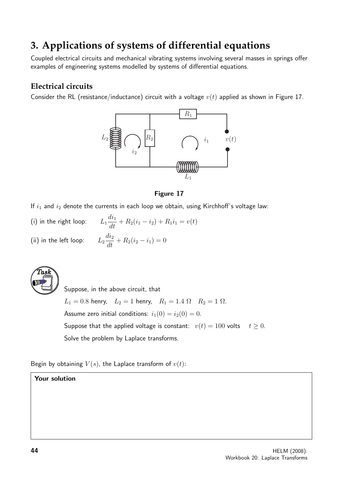## **3. Applications of systems of differential equations**

Coupled electrical circuits and mechanical vibrating systems involving several masses in springs offer examples of engineering systems modelled by systems of differential equations.

#### **Electrical circuits**

Consider the RL (resistance/inductance) circuit with a voltage  $v(t)$  applied as shown in Figure 17.



#### Figure 17

If  $i_1$  and  $i_2$  denote the currents in each loop we obtain, using Kirchhoff's voltage law:

- $(i)$  in the right loop:  $\frac{di_1}{dt} + R_2(i_1 - i_2) + R_1i_1 = v(t)$
- (ii) in the left loop:  $L_2$  $\frac{di_2}{dt} + R_2(i_2 - i_1) = 0$



Suppose, in the above circuit, that  $L_1 = 0.8$  henry,  $L_2 = 1$  henry,  $R_1 = 1.4 \Omega$   $R_2 = 1 \Omega$ . Assume zero initial conditions:  $i_1(0) = i_2(0) = 0$ . Suppose that the applied voltage is constant:  $v(t) = 100$  volts  $t \ge 0$ . Solve the problem by Laplace transforms.

Begin by obtaining  $V(s)$ , the Laplace transform of  $v(t)$ :

#### Your solution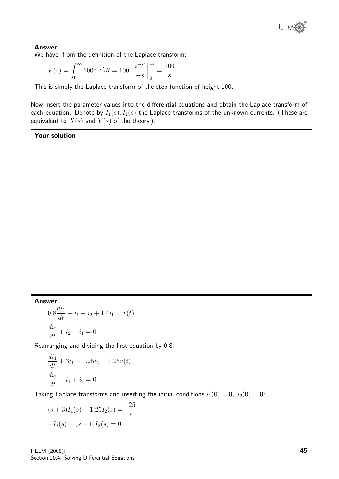

Answer We have, from the definition of the Laplace transform:

$$
V(s) = \int_0^\infty 100 e^{-st} dt = 100 \left[ \frac{e^{-st}}{-s} \right]_0^\infty = \frac{100}{s}
$$

This is simply the Laplace transform of the step function of height 100.

Now insert the parameter values into the differential equations and obtain the Laplace transform of each equation. Denote by  $I_1(s)$ ,  $I_2(s)$  the Laplace transforms of the unknown currents. (These are equivalent to  $X(s)$  and  $Y(s)$  of the theory.):

#### Your solution

#### Answer

$$
0.8\frac{di_1}{dt} + i_1 - i_2 + 1.4i_1 = v(t)
$$

$$
\frac{di_2}{dt} + i_2 - i_1 = 0
$$

Rearranging and dividing the first equation by 0.8:

$$
\frac{di_1}{dt} + 3i_1 - 1.25i_2 = 1.25v(t)
$$

$$
\frac{di_2}{dt} - i_1 + i_2 = 0
$$

Taking Laplace transforms and inserting the initial conditions  $i_1(0) = 0$ ,  $i_2(0) = 0$ :

$$
(s+3)I1(s) - 1.25I2(s) = \frac{125}{s}
$$

$$
-I1(s) + (s+1)I2(s) = 0
$$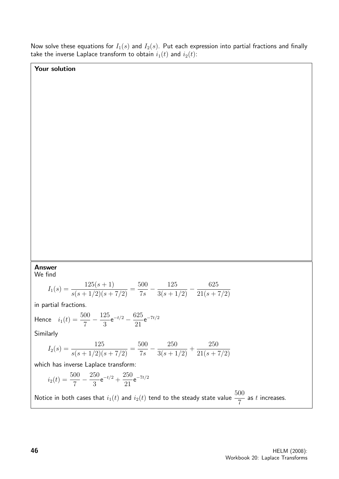Now solve these equations for  $I_1(s)$  and  $I_2(s)$ . Put each expression into partial fractions and finally take the inverse Laplace transform to obtain  $i_1(t)$  and  $i_2(t)$ :

#### Your solution

#### Answer

We find

$$
I_1(s) = \frac{125(s+1)}{s(s+1/2)(s+7/2)} = \frac{500}{7s} - \frac{125}{3(s+1/2)} - \frac{625}{21(s+7/2)}
$$

in partial fractions.

Hence 
$$
i_1(t) = \frac{500}{7} - \frac{125}{3}e^{-t/2} - \frac{625}{21}e^{-7t/2}
$$

Similarly

$$
I_2(s) = \frac{125}{s(s+1/2)(s+7/2)} = \frac{500}{7s} - \frac{250}{3(s+1/2)} + \frac{250}{21(s+7/2)}
$$

which has inverse Laplace transform:

$$
i_2(t) = \frac{500}{7} - \frac{250}{3}e^{-t/2} + \frac{250}{21}e^{-7t/2}
$$

Notice in both cases that  $i_1(t)$  and  $i_2(t)$  tend to the steady state value  $\dfrac{500}{7}$ as  $t$  increases.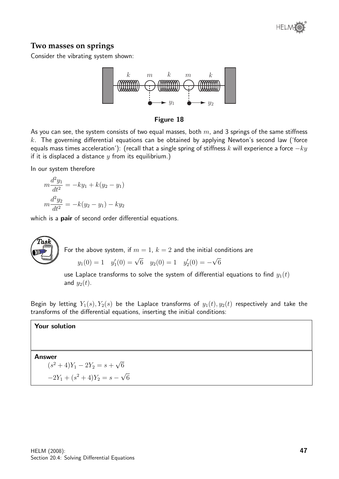

#### **Two masses on springs**

Consider the vibrating system shown:



Figure 18

As you can see, the system consists of two equal masses, both  $m$ , and 3 springs of the same stiffness  $k$ . The governing differential equations can be obtained by applying Newton's second law ('force equals mass times acceleration'): (recall that a single spring of stiffness k will experience a force  $-ky$ if it is displaced a distance  $y$  from its equilibrium.)

In our system therefore

$$
m\frac{d^2y_1}{dt^2} = -ky_1 + k(y_2 - y_1)
$$

$$
m\frac{d^2y_2}{dt^2} = -k(y_2 - y_1) - ky_2
$$

which is a **pair** of second order differential equations.



For the above system, if  $m = 1$ ,  $k = 2$  and the initial conditions are  $y_1(0) = 1$   $y'_1(0) = \sqrt{6}$   $y_2(0) = 1$   $y'_2(0) = -$ √ 6

use Laplace transforms to solve the system of differential equations to find  $y_1(t)$ and  $y_2(t)$ .

Begin by letting  $Y_1(s)$ ,  $Y_2(s)$  be the Laplace transforms of  $y_1(t)$ ,  $y_2(t)$  respectively and take the transforms of the differential equations, inserting the initial conditions:

#### Your solution

Answer

 $(s^2+4)Y_1 - 2Y_2 = s +$ √ 6  $-2Y_1 + (s^2 + 4)Y_2 = s -$ √ 6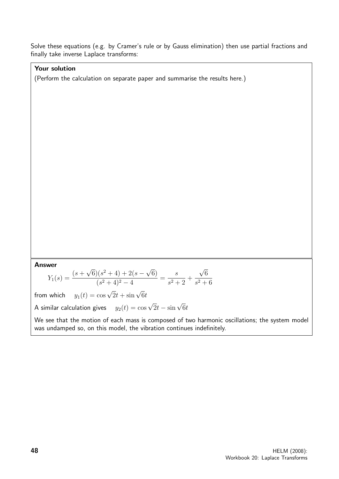Solve these equations (e.g. by Cramer's rule or by Gauss elimination) then use partial fractions and finally take inverse Laplace transforms:

#### Your solution

(Perform the calculation on separate paper and summarise the results here.)

Answer

$$
Y_1(s) = \frac{(s + \sqrt{6})(s^2 + 4) + 2(s - \sqrt{6})}{(s^2 + 4)^2 - 4} = \frac{s}{s^2 + 2} + \frac{\sqrt{6}}{s^2 + 6}
$$

from which  $y_1(t) = \cos \sqrt{2}t + \sin \sqrt{6}t$ 

A similar calculation gives  $y_2(t) = \cos \sqrt{2}t - \sin \sqrt{6}t$ 

We see that the motion of each mass is composed of two harmonic oscillations; the system model was undamped so, on this model, the vibration continues indefinitely.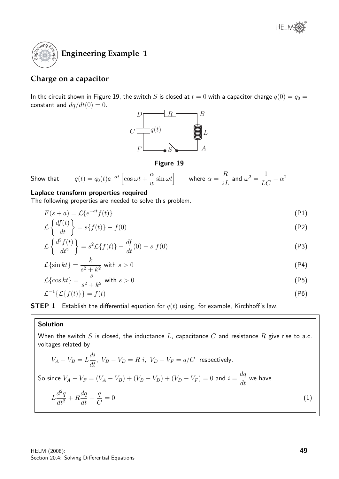

#### **Charge on a capacitor**

In the circuit shown in Figure 19, the switch S is closed at  $t = 0$  with a capacitor charge  $q(0) = q_0 = 0$ constant and  $dq/dt(0) = 0$ .



#### Figure 19

Show that  $q(t) = q_0(t) e^{-\alpha t} \left[ \cos \omega t + \right.$  $\alpha$  $\omega$  $\left\{ \sin \omega t\right\}$  where  $\alpha=$ R 2L and  $\omega^2 = \frac{1}{LC} - \alpha^2$ 

#### Laplace transform properties required

The following properties are needed to solve this problem.

$$
F(s+a) = \mathcal{L}\lbrace e^{-at}f(t)\rbrace
$$
 (P1)

$$
\mathcal{L}\left\{\frac{df(t)}{dt}\right\} = s\{f(t)\} - f(0) \tag{P2}
$$

$$
\mathcal{L}\left\{\frac{d^2f(t)}{dt^2}\right\} = s^2\mathcal{L}\left\{f(t)\right\} - \frac{df}{dt}(0) - s\ f(0) \tag{P3}
$$

$$
\mathcal{L}\{\sin kt\} = \frac{k}{s^2 + k^2} \text{ with } s > 0 \tag{P4}
$$

$$
\mathcal{L}\{\cos kt\} = \frac{s}{s^2 + k^2} \text{ with } s > 0
$$
\n<sup>(P5)</sup>

$$
\mathcal{L}^{-1}\{\mathcal{L}\{f(t)\}\} = f(t) \tag{P6}
$$

**STEP 1** Establish the differential equation for  $q(t)$  using, for example, Kirchhoff's law.

#### Solution

When the switch  $S$  is closed, the inductance  $L$ , capacitance  $C$  and resistance  $R$  give rise to a.c. voltages related by

$$
V_A - V_B = L\frac{di}{dt}, V_B - V_D = R \ i, V_D - V_F = q/C \ \text{respectively.}
$$
  
So since  $V_A - V_F = (V_A - V_B) + (V_B - V_D) + (V_D - V_F) = 0$  and  $i = \frac{dq}{dt}$  we have  

$$
L\frac{d^2q}{dt^2} + R\frac{dq}{dt} + \frac{q}{C} = 0
$$
 (1)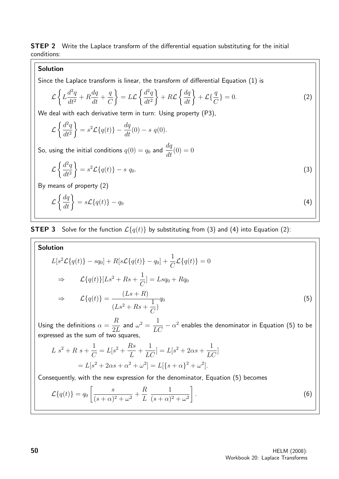**STEP 2** Write the Laplace transform of the differential equation substituting for the initial conditions:

#### Solution

Since the Laplace transform is linear, the transform of differential Equation (1) is

$$
\mathcal{L}\left\{L\frac{d^2q}{dt^2} + R\frac{dq}{dt} + \frac{q}{C}\right\} = L\mathcal{L}\left\{\frac{d^2q}{dt^2}\right\} + R\mathcal{L}\left\{\frac{dq}{dt}\right\} + \mathcal{L}\left\{\frac{q}{C}\right\} = 0.
$$
\n(2)

We deal with each derivative term in turn: Using property (P3),

$$
\mathcal{L}\left\{\frac{d^2q}{dt^2}\right\} = s^2 \mathcal{L}\left\{q(t)\right\} - \frac{dq}{dt}(0) - s q(0).
$$

So, using the initial conditions  $q(0) = q_0$  and  $\displaystyle{\frac{dq}{dt}(0) = 0}$ 

$$
\mathcal{L}\left\{\frac{d^2q}{dt^2}\right\} = s^2 \mathcal{L}\left\{q(t)\right\} - s \ q_0. \tag{3}
$$

By means of property (2)

$$
\mathcal{L}\left\{\frac{dq}{dt}\right\} = s\mathcal{L}\left\{q(t)\right\} - q_0\tag{4}
$$

#### **STEP 3** Solve for the function  $\mathcal{L}{q(t)}$  by substituting from (3) and (4) into Equation (2):

Solution  
\n
$$
L[s^{2}\mathcal{L}\{q(t)\} - sq_{0}] + R[s\mathcal{L}\{q(t)\} - q_{0}] + \frac{1}{C}\mathcal{L}\{q(t)\} = 0
$$
\n
$$
\Rightarrow \qquad \mathcal{L}\{q(t)\}[Ls^{2} + Rs + \frac{1}{C}] = Lsq_{0} + Rq_{0}
$$
\n
$$
\Rightarrow \qquad \mathcal{L}\{q(t)\} = \frac{(Ls + R)}{(Ls^{2} + Rs + \frac{1}{C})}q_{0}
$$
\n(5)

Using the definitions  $\alpha =$ R  $2L$ and  $\omega^2 = \dfrac{1}{LC} - \alpha^2$  enables the denominator in Equation (5) to be expressed as the sum of two squares,

$$
L s2 + R s + \frac{1}{C} = L[s2 + \frac{Rs}{L} + \frac{1}{LC}] = L[s2 + 2\alpha s + \frac{1}{LC}]
$$
  
=  $L[s2 + 2\alpha s + \alpha2 + \omega2] = L[{s + \alpha}2 + \omega2].$ 

Consequently, with the new expression for the denominator, Equation (5) becomes

$$
\mathcal{L}\lbrace q(t)\rbrace = q_0 \left[ \frac{s}{(s+\alpha)^2 + \omega^2} + \frac{R}{L} \frac{1}{(s+\alpha)^2 + \omega^2} \right].
$$
\n
$$
(6)
$$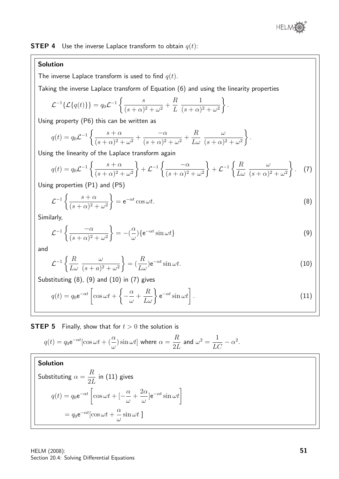

**STEP 4** Use the inverse Laplace transform to obtain  $q(t)$ :

#### Solution

The inverse Laplace transform is used to find  $q(t)$ .

Taking the inverse Laplace transform of Equation (6) and using the linearity properties

$$
\mathcal{L}^{-1}{\{\mathcal{L}{q(t)}\}} = q_0 \mathcal{L}^{-1}\left\{\frac{s}{(s+\alpha)^2 + \omega^2} + \frac{R}{L}\frac{1}{(s+\alpha)^2 + \omega^2}\right\}.
$$

Using property (P6) this can be written as

$$
q(t) = q_0 \mathcal{L}^{-1} \left\{ \frac{s + \alpha}{(s + \alpha)^2 + \omega^2} + \frac{-\alpha}{(s + \alpha)^2 + \omega^2} + \frac{R}{L\omega} \frac{\omega}{(s + \alpha)^2 + \omega^2} \right\}.
$$

Using the linearity of the Laplace transform again

$$
q(t) = q_0 \mathcal{L}^{-1} \left\{ \frac{s + \alpha}{(s + \alpha)^2 + \omega^2} \right\} + \mathcal{L}^{-1} \left\{ \frac{-\alpha}{(s + \alpha)^2 + \omega^2} \right\} + \mathcal{L}^{-1} \left\{ \frac{R}{L\omega} \frac{\omega}{(s + \alpha)^2 + \omega^2} \right\}.
$$
 (7)

Using properties (P1) and (P5)

$$
\mathcal{L}^{-1}\left\{\frac{s+\alpha}{(s+\alpha)^2+\omega^2}\right\} = e^{-\alpha t}\cos\omega t.
$$
 (8)

Similarly,

$$
\mathcal{L}^{-1}\left\{\frac{-\alpha}{(s+\alpha)^2+\omega^2}\right\} = -\left(\frac{\alpha}{\omega}\right)\left\{e^{-\alpha t}\sin \omega t\right\} \tag{9}
$$

and

$$
\mathcal{L}^{-1}\left\{\frac{R}{L\omega}\frac{\omega}{(s+a)^2+\omega^2}\right\} = \left(\frac{R}{L\omega}\right)e^{-\alpha t}\sin \omega t.
$$
\n(10)

Substituting (8), (9) and (10) in (7) gives

$$
q(t) = q_0 e^{-\alpha t} \left[ \cos \omega t + \left\{ -\frac{\alpha}{\omega} + \frac{R}{L\omega} \right\} e^{-\alpha t} \sin \omega t \right].
$$
 (11)

**STEP 5** Finally, show that for  $t > 0$  the solution is

$$
q(t) = q_0 e^{-\alpha t} [\cos \omega t + (\frac{\alpha}{\omega}) \sin \omega t]
$$
 where  $\alpha = \frac{R}{2L}$  and  $\omega^2 = \frac{1}{LC} - \alpha^2$ .

#### Solution

Substituting 
$$
\alpha = \frac{R}{2L}
$$
 in (11) gives  
\n
$$
q(t) = q_0 e^{-\alpha t} \left[ \cos \omega t + \left[ -\frac{\alpha}{\omega} + \frac{2\alpha}{\omega} \right] e^{-\alpha t} \sin \omega t \right]
$$
\n
$$
= q_0 e^{-\alpha t} [\cos \omega t + \frac{\alpha}{\omega} \sin \omega t]
$$

HELM (2008): Section 20.4: Solving Differential Equations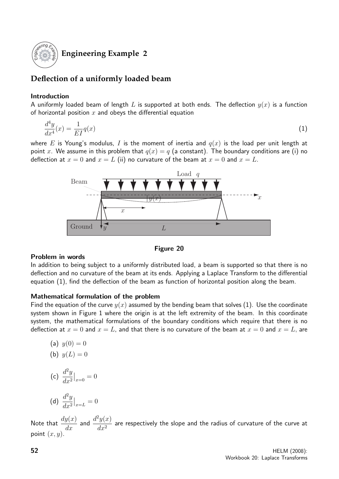

#### **Engineering Example 2**

#### **Deflection of a uniformly loaded beam**

#### Introduction

A uniformly loaded beam of length L is supported at both ends. The deflection  $y(x)$  is a function of horizontal position  $x$  and obeys the differential equation

$$
\frac{d^4y}{dx^4}(x) = \frac{1}{EI}q(x) \tag{1}
$$

where E is Young's modulus, I is the moment of inertia and  $q(x)$  is the load per unit length at point x. We assume in this problem that  $q(x) = q$  (a constant). The boundary conditions are (i) no deflection at  $x = 0$  and  $x = L$  (ii) no curvature of the beam at  $x = 0$  and  $x = L$ .





#### Problem in words

In addition to being subject to a uniformly distributed load, a beam is supported so that there is no deflection and no curvature of the beam at its ends. Applying a Laplace Transform to the differential equation (1), find the deflection of the beam as function of horizontal position along the beam.

#### Mathematical formulation of the problem

Find the equation of the curve  $y(x)$  assumed by the bending beam that solves (1). Use the coordinate system shown in Figure 1 where the origin is at the left extremity of the beam. In this coordinate system, the mathematical formulations of the boundary conditions which require that there is no deflection at  $x = 0$  and  $x = L$ , and that there is no curvature of the beam at  $x = 0$  and  $x = L$ , are

(a) 
$$
y(0) = 0
$$
  
\n(b)  $y(L) = 0$   
\n(c)  $\frac{d^2y}{dx^2}\Big|_{x=0} = 0$   
\n(d)  $\frac{d^2y}{dx^2}\Big|_{x=L} = 0$ 

Note that  $\frac{dy(x)}{dx}$  and  $\frac{d^2y(x)}{dx^2}$  $\frac{g(w)}{dx^2}$  are respectively the slope and the radius of curvature of the curve at point  $(x, y)$ .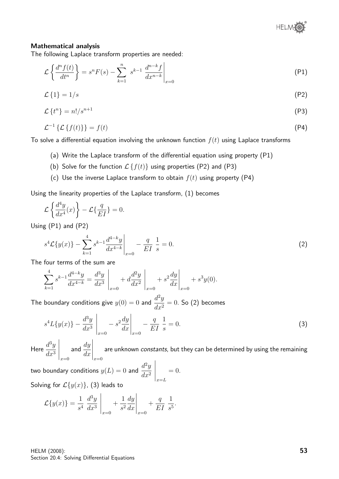

#### Mathematical analysis

The following Laplace transform properties are needed:

$$
\mathcal{L}\left\{\frac{d^n f(t)}{dt^n}\right\} = s^n F(s) - \sum_{k=1}^n s^{k-1} \left.\frac{d^{n-k} f}{dx^{n-k}}\right|_{x=0} \tag{P1}
$$

$$
\mathcal{L}\left\{1\right\} = 1/s\tag{P2}
$$

$$
\mathcal{L}\left\{t^{n}\right\} = n!/s^{n+1} \tag{P3}
$$

$$
\mathcal{L}^{-1}\left\{\mathcal{L}\left\{f(t)\right\}\right\} = f(t) \tag{P4}
$$

To solve a differential equation involving the unknown function  $f(t)$  using Laplace transforms

- (a) Write the Laplace transform of the differential equation using property (P1)
- (b) Solve for the function  $\mathcal{L}\left\{f(t)\right\}$  using properties (P2) and (P3)
- (c) Use the inverse Laplace transform to obtain  $f(t)$  using property (P4)

Using the linearity properties of the Laplace transform, (1) becomes

$$
\mathcal{L}\left\{\frac{d^4y}{dx^4}(x)\right\} - \mathcal{L}\left\{\frac{q}{EI}\right\} = 0.
$$

Using (P1) and (P2)

$$
s^{4}\mathcal{L}\{y(x)\} - \sum_{k=1}^{4} s^{k-1} \frac{d^{4-k}y}{dx^{4-k}} \bigg|_{x=0} - \frac{q}{EI} \frac{1}{s} = 0.
$$
 (2)

The four terms of the sum are

$$
\sum_{k=1}^{4} s^{k-1} \frac{d^{4-k}y}{dx^{4-k}} = \frac{d^3y}{dx^3} \bigg|_{x=0} + d \frac{d^2y}{dx^2} \bigg|_{x=0} + s^2 \frac{dy}{dx} \bigg|_{x=0} + s^3y(0).
$$

The boundary conditions give  $y(0) = 0$  and  $\frac{d^2y}{dx^2}$  $\frac{d^{2}y}{dx^{2}} = 0$ . So (2) becomes

$$
s^{4}L\{y(x)\} - \frac{d^{3}y}{dx^{3}}\bigg|_{x=0} - s^{2}\frac{dy}{dx}\bigg|_{x=0} - \frac{q}{EI}\frac{1}{s} = 0.
$$
 (3)

Here  $\frac{d^3y}{dx^3}$  $dx^3$  $\bigg|_{x=0}$ and  $\frac{dy}{dx}$  $dx$  $\bigg|_{x=0}$ are unknown constants, but they can be determined by using the remaining

two boundary conditions  $y(L) = 0$  and  $\frac{d^2y}{dt^2}$  $dx^2$  $\bigg|_{x=L}$  $= 0.$ Solving for  $\mathcal{L}\lbrace y(x)\rbrace$ , (3) leads to

$$
\mathcal{L}{y(x)} = \frac{1}{s^4} \left. \frac{d^3y}{dx^3} \right|_{x=0} + \frac{1}{s^2} \frac{dy}{dx} \bigg|_{x=0} + \frac{q}{EI} \left. \frac{1}{s^5} \right.
$$